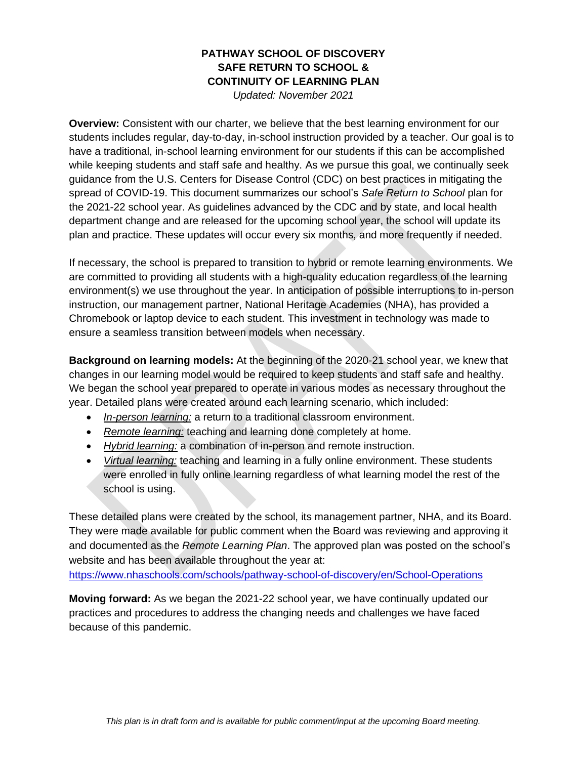## **PATHWAY SCHOOL OF DISCOVERY SAFE RETURN TO SCHOOL & CONTINUITY OF LEARNING PLAN**

*Updated: November 2021*

**Overview:** Consistent with our charter, we believe that the best learning environment for our students includes regular, day-to-day, in-school instruction provided by a teacher. Our goal is to have a traditional, in-school learning environment for our students if this can be accomplished while keeping students and staff safe and healthy. As we pursue this goal, we continually seek guidance from the U.S. Centers for Disease Control (CDC) on best practices in mitigating the spread of COVID-19. This document summarizes our school's *Safe Return to School* plan for the 2021-22 school year. As guidelines advanced by the CDC and by state, and local health department change and are released for the upcoming school year, the school will update its plan and practice. These updates will occur every six months, and more frequently if needed.

If necessary, the school is prepared to transition to hybrid or remote learning environments. We are committed to providing all students with a high-quality education regardless of the learning environment(s) we use throughout the year. In anticipation of possible interruptions to in-person instruction, our management partner, National Heritage Academies (NHA), has provided a Chromebook or laptop device to each student. This investment in technology was made to ensure a seamless transition between models when necessary.

**Background on learning models:** At the beginning of the 2020-21 school year, we knew that changes in our learning model would be required to keep students and staff safe and healthy. We began the school year prepared to operate in various modes as necessary throughout the year. Detailed plans were created around each learning scenario, which included:

- *In-person learning:* a return to a traditional classroom environment.
- *Remote learning:* teaching and learning done completely at home.
- *Hybrid learning:* a combination of in-person and remote instruction.
- *Virtual learning:* teaching and learning in a fully online environment. These students were enrolled in fully online learning regardless of what learning model the rest of the school is using.

These detailed plans were created by the school, its management partner, NHA, and its Board. They were made available for public comment when the Board was reviewing and approving it and documented as the *Remote Learning Plan*. The approved plan was posted on the school's website and has been available throughout the year at:

<https://www.nhaschools.com/schools/pathway-school-of-discovery/en/School-Operations>

**Moving forward:** As we began the 2021-22 school year, we have continually updated our practices and procedures to address the changing needs and challenges we have faced because of this pandemic.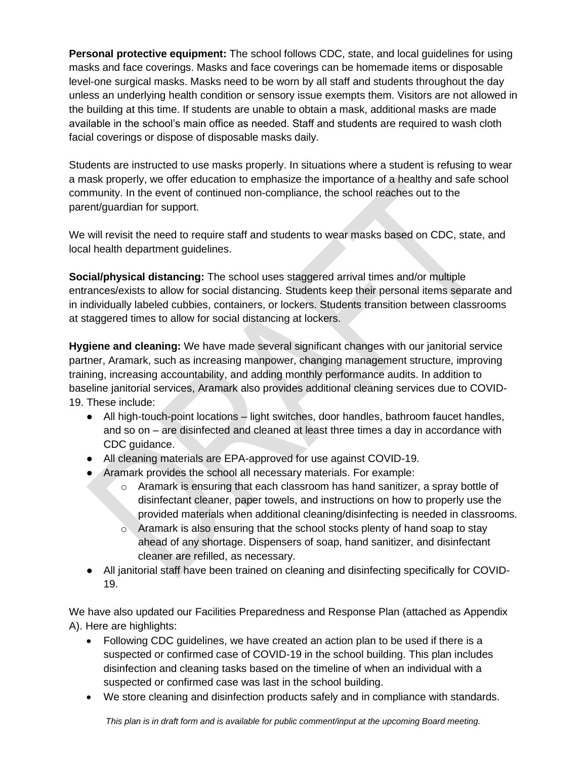**Personal protective equipment:** The school follows CDC, state, and local guidelines for using masks and face coverings. Masks and face coverings can be homemade items or disposable level-one surgical masks. Masks need to be worn by all staff and students throughout the day unless an underlying health condition or sensory issue exempts them. Visitors are not allowed in the building at this time. If students are unable to obtain a mask, additional masks are made available in the school's main office as needed. Staff and students are required to wash cloth facial coverings or dispose of disposable masks daily.

Students are instructed to use masks properly. In situations where a student is refusing to wear a mask properly, we offer education to emphasize the importance of a healthy and safe school community. In the event of continued non-compliance, the school reaches out to the parent/guardian for support.

We will revisit the need to require staff and students to wear masks based on CDC, state, and local health department guidelines.

**Social/physical distancing:** The school uses staggered arrival times and/or multiple entrances/exists to allow for social distancing. Students keep their personal items separate and in individually labeled cubbies, containers, or lockers. Students transition between classrooms at staggered times to allow for social distancing at lockers.

**Hygiene and cleaning:** We have made several significant changes with our janitorial service partner, Aramark, such as increasing manpower, changing management structure, improving training, increasing accountability, and adding monthly performance audits. In addition to baseline janitorial services, Aramark also provides additional cleaning services due to COVID-19. These include:

- All high-touch-point locations light switches, door handles, bathroom faucet handles, and so on – are disinfected and cleaned at least three times a day in accordance with CDC guidance.
- All cleaning materials are EPA-approved for use against COVID-19.
- Aramark provides the school all necessary materials. For example:
	- $\circ$  Aramark is ensuring that each classroom has hand sanitizer, a spray bottle of disinfectant cleaner, paper towels, and instructions on how to properly use the provided materials when additional cleaning/disinfecting is needed in classrooms.
	- $\circ$  Aramark is also ensuring that the school stocks plenty of hand soap to stay ahead of any shortage. Dispensers of soap, hand sanitizer, and disinfectant cleaner are refilled, as necessary.
- All janitorial staff have been trained on cleaning and disinfecting specifically for COVID-19.

We have also updated our Facilities Preparedness and Response Plan (attached as Appendix A). Here are highlights:

- Following CDC guidelines, we have created an action plan to be used if there is a suspected or confirmed case of COVID-19 in the school building. This plan includes disinfection and cleaning tasks based on the timeline of when an individual with a suspected or confirmed case was last in the school building.
- We store cleaning and disinfection products safely and in compliance with standards.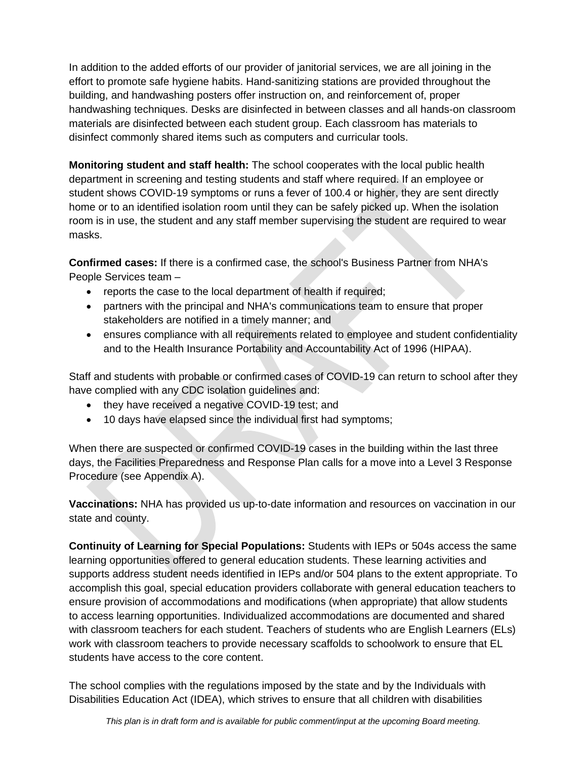In addition to the added efforts of our provider of janitorial services, we are all joining in the effort to promote safe hygiene habits. Hand-sanitizing stations are provided throughout the building, and handwashing posters offer instruction on, and reinforcement of, proper handwashing techniques. Desks are disinfected in between classes and all hands-on classroom materials are disinfected between each student group. Each classroom has materials to disinfect commonly shared items such as computers and curricular tools.

**Monitoring student and staff health:** The school cooperates with the local public health department in screening and testing students and staff where required. If an employee or student shows COVID-19 symptoms or runs a fever of 100.4 or higher, they are sent directly home or to an identified isolation room until they can be safely picked up. When the isolation room is in use, the student and any staff member supervising the student are required to wear masks.

**Confirmed cases:** If there is a confirmed case, the school's Business Partner from NHA's People Services team –

- reports the case to the local department of health if required;
- partners with the principal and NHA's communications team to ensure that proper stakeholders are notified in a timely manner; and
- ensures compliance with all requirements related to employee and student confidentiality and to the Health Insurance Portability and Accountability Act of 1996 (HIPAA).

Staff and students with probable or confirmed cases of COVID-19 can return to school after they have complied with any CDC isolation guidelines and:

- they have received a negative COVID-19 test; and
- 10 days have elapsed since the individual first had symptoms;

When there are suspected or confirmed COVID-19 cases in the building within the last three days, the Facilities Preparedness and Response Plan calls for a move into a Level 3 Response Procedure (see Appendix A).

**Vaccinations:** NHA has provided us up-to-date information and resources on vaccination in our state and county.

**Continuity of Learning for Special Populations:** Students with IEPs or 504s access the same learning opportunities offered to general education students. These learning activities and supports address student needs identified in IEPs and/or 504 plans to the extent appropriate. To accomplish this goal, special education providers collaborate with general education teachers to ensure provision of accommodations and modifications (when appropriate) that allow students to access learning opportunities. Individualized accommodations are documented and shared with classroom teachers for each student. Teachers of students who are English Learners (ELs) work with classroom teachers to provide necessary scaffolds to schoolwork to ensure that EL students have access to the core content.

The school complies with the regulations imposed by the state and by the Individuals with Disabilities Education Act (IDEA), which strives to ensure that all children with disabilities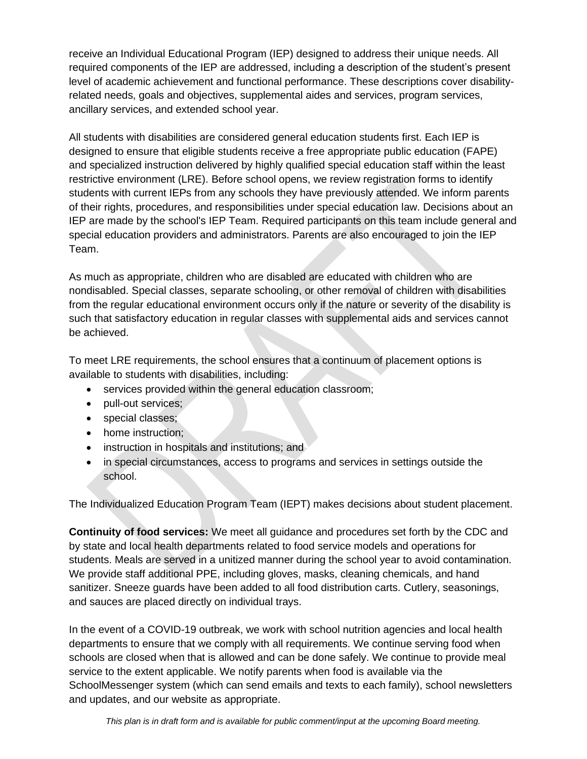receive an Individual Educational Program (IEP) designed to address their unique needs. All required components of the IEP are addressed, including a description of the student's present level of academic achievement and functional performance. These descriptions cover disabilityrelated needs, goals and objectives, supplemental aides and services, program services, ancillary services, and extended school year.

All students with disabilities are considered general education students first. Each IEP is designed to ensure that eligible students receive a free appropriate public education (FAPE) and specialized instruction delivered by highly qualified special education staff within the least restrictive environment (LRE). Before school opens, we review registration forms to identify students with current IEPs from any schools they have previously attended. We inform parents of their rights, procedures, and responsibilities under special education law. Decisions about an IEP are made by the school's IEP Team. Required participants on this team include general and special education providers and administrators. Parents are also encouraged to join the IEP Team.

As much as appropriate, children who are disabled are educated with children who are nondisabled. Special classes, separate schooling, or other removal of children with disabilities from the regular educational environment occurs only if the nature or severity of the disability is such that satisfactory education in regular classes with supplemental aids and services cannot be achieved.

To meet LRE requirements, the school ensures that a continuum of placement options is available to students with disabilities, including:

- services provided within the general education classroom;
- pull-out services;
- special classes:
- home instruction;
- instruction in hospitals and institutions; and
- in special circumstances, access to programs and services in settings outside the school.

The Individualized Education Program Team (IEPT) makes decisions about student placement.

**Continuity of food services:** We meet all guidance and procedures set forth by the CDC and by state and local health departments related to food service models and operations for students. Meals are served in a unitized manner during the school year to avoid contamination. We provide staff additional PPE, including gloves, masks, cleaning chemicals, and hand sanitizer. Sneeze guards have been added to all food distribution carts. Cutlery, seasonings, and sauces are placed directly on individual trays.

In the event of a COVID-19 outbreak, we work with school nutrition agencies and local health departments to ensure that we comply with all requirements. We continue serving food when schools are closed when that is allowed and can be done safely. We continue to provide meal service to the extent applicable. We notify parents when food is available via the SchoolMessenger system (which can send emails and texts to each family), school newsletters and updates, and our website as appropriate.